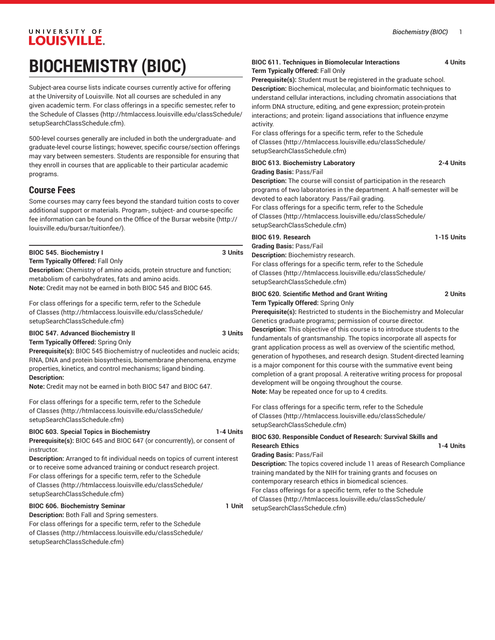# UNIVERSITY OF **LOUISVILLE.**

# **BIOCHEMISTRY (BIOC)**

Subject-area course lists indicate courses currently active for offering at the University of Louisville. Not all courses are scheduled in any given academic term. For class offerings in a specific semester, refer to the [Schedule of Classes](http://htmlaccess.louisville.edu/classSchedule/setupSearchClassSchedule.cfm) ([http://htmlaccess.louisville.edu/classSchedule/](http://htmlaccess.louisville.edu/classSchedule/setupSearchClassSchedule.cfm) [setupSearchClassSchedule.cfm\)](http://htmlaccess.louisville.edu/classSchedule/setupSearchClassSchedule.cfm).

500-level courses generally are included in both the undergraduate- and graduate-level course listings; however, specific course/section offerings may vary between semesters. Students are responsible for ensuring that they enroll in courses that are applicable to their particular academic programs.

# **Course Fees**

Some courses may carry fees beyond the standard tuition costs to cover additional support or materials. Program-, subject- and course-specific fee information can be found on the [Office of the Bursar website](http://louisville.edu/bursar/tuitionfee/) ([http://](http://louisville.edu/bursar/tuitionfee/) [louisville.edu/bursar/tuitionfee/](http://louisville.edu/bursar/tuitionfee/)).

#### **BIOC 545. Biochemistry I 3 Units**

**Term Typically Offered:** Fall Only

**Description:** Chemistry of amino acids, protein structure and function; metabolism of carbohydrates, fats and amino acids. **Note:** Credit may not be earned in both BIOC 545 and BIOC 645.

For class offerings for a specific term, refer to the [Schedule](http://htmlaccess.louisville.edu/classSchedule/setupSearchClassSchedule.cfm) [of Classes \(http://htmlaccess.louisville.edu/classSchedule/](http://htmlaccess.louisville.edu/classSchedule/setupSearchClassSchedule.cfm) [setupSearchClassSchedule.cfm\)](http://htmlaccess.louisville.edu/classSchedule/setupSearchClassSchedule.cfm)

**BIOC 547. Advanced Biochemistry II 3 Units**

**Term Typically Offered:** Spring Only

**Prerequisite(s):** BIOC 545 Biochemistry of nucleotides and nucleic acids; RNA, DNA and protein biosynthesis, biomembrane phenomena, enzyme

properties, kinetics, and control mechanisms; ligand binding. **Description:**

**Note:** Credit may not be earned in both BIOC 547 and BIOC 647.

For class offerings for a specific term, refer to the [Schedule](http://htmlaccess.louisville.edu/classSchedule/setupSearchClassSchedule.cfm) [of Classes \(http://htmlaccess.louisville.edu/classSchedule/](http://htmlaccess.louisville.edu/classSchedule/setupSearchClassSchedule.cfm) [setupSearchClassSchedule.cfm\)](http://htmlaccess.louisville.edu/classSchedule/setupSearchClassSchedule.cfm)

#### **BIOC 603. Special Topics in Biochemistry 1-4 Units**

**Prerequisite(s):** BIOC 645 and BIOC 647 (or concurrently), or consent of instructor.

**Description:** Arranged to fit individual needs on topics of current interest or to receive some advanced training or conduct research project. For class offerings for a specific term, refer to the [Schedule](http://htmlaccess.louisville.edu/classSchedule/setupSearchClassSchedule.cfm) [of Classes \(http://htmlaccess.louisville.edu/classSchedule/](http://htmlaccess.louisville.edu/classSchedule/setupSearchClassSchedule.cfm) [setupSearchClassSchedule.cfm\)](http://htmlaccess.louisville.edu/classSchedule/setupSearchClassSchedule.cfm)

# **BIOC 606. Biochemistry Seminar 1 Unit**

**Description:** Both Fall and Spring semesters. For class offerings for a specific term, refer to the [Schedule](http://htmlaccess.louisville.edu/classSchedule/setupSearchClassSchedule.cfm) [of Classes \(http://htmlaccess.louisville.edu/classSchedule/](http://htmlaccess.louisville.edu/classSchedule/setupSearchClassSchedule.cfm) [setupSearchClassSchedule.cfm\)](http://htmlaccess.louisville.edu/classSchedule/setupSearchClassSchedule.cfm)

#### **BIOC 611. Techniques in Biomolecular Interactions 4 Units Term Typically Offered:** Fall Only

**Prerequisite(s):** Student must be registered in the graduate school. **Description:** Biochemical, molecular, and bioinformatic techniques to understand cellular interactions, including chromatin associations that inform DNA structure, editing, and gene expression; protein-protein interactions; and protein: ligand associations that influence enzyme activity.

For class offerings for a specific term, refer to the [Schedule](http://htmlaccess.louisville.edu/classSchedule/setupSearchClassSchedule.cfm) [of Classes](http://htmlaccess.louisville.edu/classSchedule/setupSearchClassSchedule.cfm) ([http://htmlaccess.louisville.edu/classSchedule/](http://htmlaccess.louisville.edu/classSchedule/setupSearchClassSchedule.cfm) [setupSearchClassSchedule.cfm\)](http://htmlaccess.louisville.edu/classSchedule/setupSearchClassSchedule.cfm)

| <b>BIOC 613. Biochemistry Laboratory</b>                                     | 2-4 Units |
|------------------------------------------------------------------------------|-----------|
| <b>Grading Basis: Pass/Fail</b>                                              |           |
| <b>Description:</b> The course will consist of participation in the research |           |
| programs of two laboratories in the department. A half-semester will be      |           |
| devoted to each laboratory. Pass/Fail grading.                               |           |
| For class offerings for a specific term, refer to the Schedule               |           |
| of Classes (http://htmlaccess.louisville.edu/classSchedule/                  |           |
| setupSearchClassSchedule.cfm)                                                |           |
|                                                                              |           |

# **BIOC 619. Research 1-15 Units**

**Grading Basis:** Pass/Fail **Description:** Biochemistry research.

For class offerings for a specific term, refer to the [Schedule](http://htmlaccess.louisville.edu/classSchedule/setupSearchClassSchedule.cfm) [of Classes](http://htmlaccess.louisville.edu/classSchedule/setupSearchClassSchedule.cfm) ([http://htmlaccess.louisville.edu/classSchedule/](http://htmlaccess.louisville.edu/classSchedule/setupSearchClassSchedule.cfm) [setupSearchClassSchedule.cfm\)](http://htmlaccess.louisville.edu/classSchedule/setupSearchClassSchedule.cfm)

#### **BIOC 620. Scientific Method and Grant Writing 2 Units Term Typically Offered:** Spring Only

**Prerequisite(s):** Restricted to students in the Biochemistry and Molecular Genetics graduate programs; permission of course director.

**Description:** This objective of this course is to introduce students to the fundamentals of grantsmanship. The topics incorporate all aspects for grant application process as well as overview of the scientific method, generation of hypotheses, and research design. Student-directed learning is a major component for this course with the summative event being completion of a grant proposal. A reiterative writing process for proposal development will be ongoing throughout the course. **Note:** May be repeated once for up to 4 credits.

For class offerings for a specific term, refer to the [Schedule](http://htmlaccess.louisville.edu/classSchedule/setupSearchClassSchedule.cfm) [of Classes](http://htmlaccess.louisville.edu/classSchedule/setupSearchClassSchedule.cfm) ([http://htmlaccess.louisville.edu/classSchedule/](http://htmlaccess.louisville.edu/classSchedule/setupSearchClassSchedule.cfm) [setupSearchClassSchedule.cfm\)](http://htmlaccess.louisville.edu/classSchedule/setupSearchClassSchedule.cfm)

#### **BIOC 630. Responsible Conduct of Research: Survival Skills and Research Ethics** 1-4 Units

**Grading Basis:** Pass/Fail

**Description:** The topics covered include 11 areas of Research Compliance training mandated by the NIH for training grants and focuses on contemporary research ethics in biomedical sciences. For class offerings for a specific term, refer to the [Schedule](http://htmlaccess.louisville.edu/classSchedule/setupSearchClassSchedule.cfm) [of Classes](http://htmlaccess.louisville.edu/classSchedule/setupSearchClassSchedule.cfm) ([http://htmlaccess.louisville.edu/classSchedule/](http://htmlaccess.louisville.edu/classSchedule/setupSearchClassSchedule.cfm)

[setupSearchClassSchedule.cfm\)](http://htmlaccess.louisville.edu/classSchedule/setupSearchClassSchedule.cfm)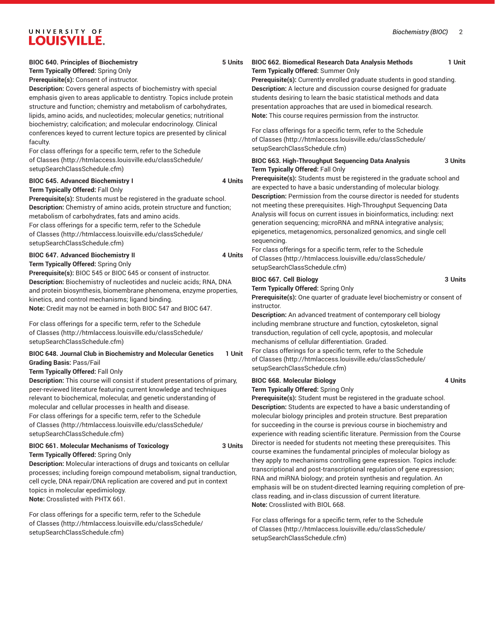# UNIVERSITY OF **LOUISVILLE.**

#### **BIOC 640. Principles of Biochemistry 5 Units**

**Term Typically Offered:** Spring Only **Prerequisite(s):** Consent of instructor.

**Description:** Covers general aspects of biochemistry with special emphasis given to areas applicable to dentistry. Topics include protein structure and function; chemistry and metabolism of carbohydrates, lipids, amino acids, and nucleotides; molecular genetics; nutritional biochemistry; calcification; and molecular endocrinology. Clinical conferences keyed to current lecture topics are presented by clinical faculty.

For class offerings for a specific term, refer to the [Schedule](http://htmlaccess.louisville.edu/classSchedule/setupSearchClassSchedule.cfm) [of Classes \(http://htmlaccess.louisville.edu/classSchedule/](http://htmlaccess.louisville.edu/classSchedule/setupSearchClassSchedule.cfm) [setupSearchClassSchedule.cfm\)](http://htmlaccess.louisville.edu/classSchedule/setupSearchClassSchedule.cfm)

#### **BIOC 645. Advanced Biochemistry I 4 Units**

**Term Typically Offered:** Fall Only

**Prerequisite(s):** Students must be registered in the graduate school. **Description:** Chemistry of amino acids, protein structure and function; metabolism of carbohydrates, fats and amino acids.

For class offerings for a specific term, refer to the [Schedule](http://htmlaccess.louisville.edu/classSchedule/setupSearchClassSchedule.cfm) [of Classes \(http://htmlaccess.louisville.edu/classSchedule/](http://htmlaccess.louisville.edu/classSchedule/setupSearchClassSchedule.cfm) [setupSearchClassSchedule.cfm\)](http://htmlaccess.louisville.edu/classSchedule/setupSearchClassSchedule.cfm)

#### **BIOC 647. Advanced Biochemistry II 4 Units**

#### **Term Typically Offered:** Spring Only

**Prerequisite(s):** BIOC 545 or BIOC 645 or consent of instructor. **Description:** Biochemistry of nucleotides and nucleic acids; RNA, DNA and protein biosynthesis, biomembrane phenomena, enzyme properties, kinetics, and control mechanisms; ligand binding. **Note:** Credit may not be earned in both BIOC 547 and BIOC 647.

For class offerings for a specific term, refer to the [Schedule](http://htmlaccess.louisville.edu/classSchedule/setupSearchClassSchedule.cfm) [of Classes \(http://htmlaccess.louisville.edu/classSchedule/](http://htmlaccess.louisville.edu/classSchedule/setupSearchClassSchedule.cfm)

[setupSearchClassSchedule.cfm\)](http://htmlaccess.louisville.edu/classSchedule/setupSearchClassSchedule.cfm)

#### **BIOC 648. Journal Club in Biochemistry and Molecular Genetics 1 Unit Grading Basis:** Pass/Fail

#### **Term Typically Offered:** Fall Only

**Description:** This course will consist if student presentations of primary, peer-reviewed literature featuring current knowledge and techniques relevant to biochemical, molecular, and genetic understanding of molecular and cellular processes in health and disease. For class offerings for a specific term, refer to the [Schedule](http://htmlaccess.louisville.edu/classSchedule/setupSearchClassSchedule.cfm) [of Classes \(http://htmlaccess.louisville.edu/classSchedule/](http://htmlaccess.louisville.edu/classSchedule/setupSearchClassSchedule.cfm) [setupSearchClassSchedule.cfm\)](http://htmlaccess.louisville.edu/classSchedule/setupSearchClassSchedule.cfm)

#### **BIOC 661. Molecular Mechanisms of Toxicology 3 Units Term Typically Offered:** Spring Only

**Description:** Molecular interactions of drugs and toxicants on cellular processes; including foreign compound metabolism, signal tranduction, cell cycle, DNA repair/DNA replication are covered and put in context topics in molecular epedimiology. **Note:** Crosslisted with PHTX 661.

For class offerings for a specific term, refer to the [Schedule](http://htmlaccess.louisville.edu/classSchedule/setupSearchClassSchedule.cfm) [of Classes \(http://htmlaccess.louisville.edu/classSchedule/](http://htmlaccess.louisville.edu/classSchedule/setupSearchClassSchedule.cfm) [setupSearchClassSchedule.cfm\)](http://htmlaccess.louisville.edu/classSchedule/setupSearchClassSchedule.cfm)

#### **BIOC 662. Biomedical Research Data Analysis Methods 1 Unit Term Typically Offered:** Summer Only

**Prerequisite(s):** Currently enrolled graduate students in good standing. **Description:** A lecture and discussion course designed for graduate students desiring to learn the basic statistical methods and data presentation approaches that are used in biomedical research.

**Note:** This course requires permission from the instructor. For class offerings for a specific term, refer to the [Schedule](http://htmlaccess.louisville.edu/classSchedule/setupSearchClassSchedule.cfm) [of Classes](http://htmlaccess.louisville.edu/classSchedule/setupSearchClassSchedule.cfm) ([http://htmlaccess.louisville.edu/classSchedule/](http://htmlaccess.louisville.edu/classSchedule/setupSearchClassSchedule.cfm) [setupSearchClassSchedule.cfm\)](http://htmlaccess.louisville.edu/classSchedule/setupSearchClassSchedule.cfm)

#### **BIOC 663. High-Throughput Sequencing Data Analysis 3 Units Term Typically Offered:** Fall Only

**Prerequisite(s):** Students must be registered in the graduate school and are expected to have a basic understanding of molecular biology. **Description:** Permission from the course director is needed for students not meeting these prerequisites. High-Throughput Sequencing Data Analysis will focus on current issues in bioinformatics, including: next generation sequencing; microRNA and mRNA integrative analysis; epigenetics, metagenomics, personalized genomics, and single cell sequencing.

For class offerings for a specific term, refer to the [Schedule](http://htmlaccess.louisville.edu/classSchedule/setupSearchClassSchedule.cfm) [of Classes](http://htmlaccess.louisville.edu/classSchedule/setupSearchClassSchedule.cfm) ([http://htmlaccess.louisville.edu/classSchedule/](http://htmlaccess.louisville.edu/classSchedule/setupSearchClassSchedule.cfm) [setupSearchClassSchedule.cfm\)](http://htmlaccess.louisville.edu/classSchedule/setupSearchClassSchedule.cfm)

#### **BIOC 667. Cell Biology 3 Units**

**Term Typically Offered:** Spring Only

**Prerequisite(s):** One quarter of graduate level biochemistry or consent of instructor.

**Description:** An advanced treatment of contemporary cell biology including membrane structure and function, cytoskeleton, signal transduction, regulation of cell cycle, apoptosis, and molecular mechanisms of cellular differentiation. Graded.

For class offerings for a specific term, refer to the [Schedule](http://htmlaccess.louisville.edu/classSchedule/setupSearchClassSchedule.cfm) [of Classes](http://htmlaccess.louisville.edu/classSchedule/setupSearchClassSchedule.cfm) ([http://htmlaccess.louisville.edu/classSchedule/](http://htmlaccess.louisville.edu/classSchedule/setupSearchClassSchedule.cfm) [setupSearchClassSchedule.cfm\)](http://htmlaccess.louisville.edu/classSchedule/setupSearchClassSchedule.cfm)

## **BIOC 668. Molecular Biology 4 Units**

**Term Typically Offered:** Spring Only

**Prerequisite(s):** Student must be registered in the graduate school. **Description:** Students are expected to have a basic understanding of molecular biology principles and protein structure. Best preparation for succeeding in the course is previous course in biochemistry and experience with reading scientific literature. Permission from the Course Director is needed for students not meeting these prerequisites. This course examines the fundamental principles of molecular biology as they apply to mechanisms controlling gene expression. Topics include: transcriptional and post-transcriptional regulation of gene expression; RNA and miRNA biology; and protein synthesis and regulation. An emphasis will be on student-directed learning requiring completion of preclass reading, and in-class discussion of current literature. **Note:** Crosslisted with BIOL 668.

For class offerings for a specific term, refer to the [Schedule](http://htmlaccess.louisville.edu/classSchedule/setupSearchClassSchedule.cfm) [of Classes](http://htmlaccess.louisville.edu/classSchedule/setupSearchClassSchedule.cfm) ([http://htmlaccess.louisville.edu/classSchedule/](http://htmlaccess.louisville.edu/classSchedule/setupSearchClassSchedule.cfm) [setupSearchClassSchedule.cfm\)](http://htmlaccess.louisville.edu/classSchedule/setupSearchClassSchedule.cfm)